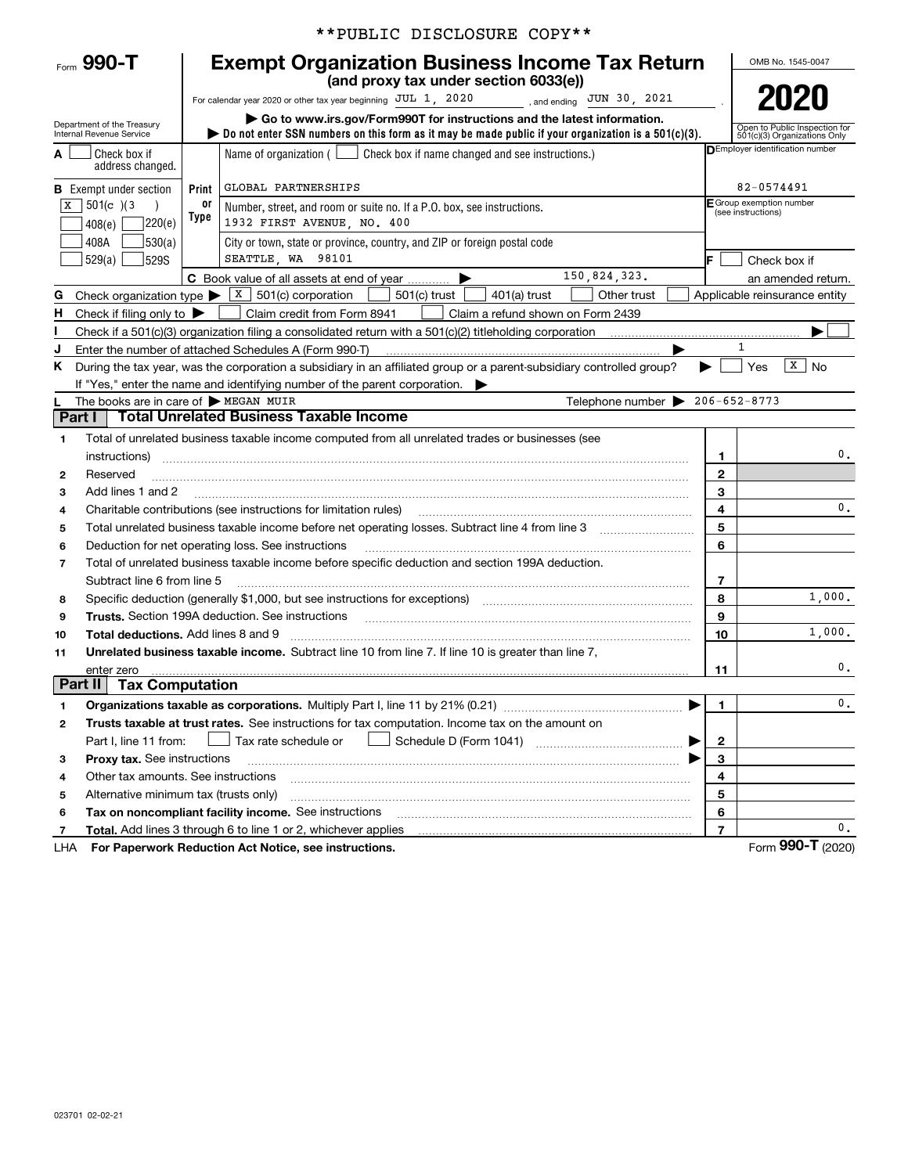|                |                                                           |            | **PUBLIC DISCLOSURE COPY**                                                                                                              |                  |                                                               |  |
|----------------|-----------------------------------------------------------|------------|-----------------------------------------------------------------------------------------------------------------------------------------|------------------|---------------------------------------------------------------|--|
|                | Form $990 - T$                                            |            | <b>Exempt Organization Business Income Tax Return</b><br>(and proxy tax under section 6033(e))                                          |                  | OMB No. 1545-0047                                             |  |
|                |                                                           |            | For calendar year 2020 or other tax year beginning JUL 1, 2020<br>and ending JUN 30, 2021                                               |                  | 2021                                                          |  |
|                | Department of the Treasury                                |            | Go to www.irs.gov/Form990T for instructions and the latest information.                                                                 |                  |                                                               |  |
|                | Internal Revenue Service                                  |            | bo not enter SSN numbers on this form as it may be made public if your organization is a $501(c)(3)$ .                                  |                  | Open to Public Inspection for<br>501(c)(3) Organizations Only |  |
|                | Check box if<br>address changed.                          |            | Name of organization $($ $\Box$ Check box if name changed and see instructions.)                                                        |                  | DEmployer identification number                               |  |
|                | <b>B</b> Exempt under section                             | Print      | <b>GLOBAL PARTNERSHIPS</b>                                                                                                              |                  | 82-0574491                                                    |  |
|                | $\sqrt{X}$ 501(c)(3)<br>7220(e)<br>408(e)                 | 0r<br>Type | Number, street, and room or suite no. If a P.O. box, see instructions.<br>1932 FIRST AVENUE, NO. 400                                    |                  | E Group exemption number<br>(see instructions)                |  |
|                | 530(a) <br>408A<br>529(a)<br><b>529S</b>                  |            | City or town, state or province, country, and ZIP or foreign postal code<br>SEATTLE, WA 98101                                           | lF .             | Check box if                                                  |  |
|                |                                                           |            | 150,824,323.<br>C Book value of all assets at end of year                                                                               |                  | an amended return.                                            |  |
| G              |                                                           |            | Check organization type $\blacktriangleright$ $\lfloor x \rfloor$ 501(c) corporation<br>$501(c)$ trust<br>$401(a)$ trust<br>Other trust |                  | Applicable reinsurance entity                                 |  |
| н.             | Check if filing only to $\blacktriangleright$             |            | Claim credit from Form 8941<br>Claim a refund shown on Form 2439                                                                        |                  |                                                               |  |
|                |                                                           |            |                                                                                                                                         |                  |                                                               |  |
| J              |                                                           |            | Enter the number of attached Schedules A (Form 990-T)                                                                                   |                  | $\mathbf{1}$                                                  |  |
| K.             |                                                           |            | During the tax year, was the corporation a subsidiary in an affiliated group or a parent-subsidiary controlled group?                   |                  | x<br>Yes<br><b>No</b>                                         |  |
|                |                                                           |            | If "Yes," enter the name and identifying number of the parent corporation. $\blacktriangleright$                                        |                  |                                                               |  |
| Part I         | The books are in care of $\blacktriangleright$ MEGAN MUIR |            | Telephone number $\triangleright$ 206-652-8773<br><b>Total Unrelated Business Taxable Income</b>                                        |                  |                                                               |  |
|                |                                                           |            |                                                                                                                                         |                  |                                                               |  |
| 1              |                                                           |            | Total of unrelated business taxable income computed from all unrelated trades or businesses (see                                        |                  | $\mathbf{0}$ .                                                |  |
|                |                                                           |            |                                                                                                                                         | 1                |                                                               |  |
| 2              | Reserved<br>Add lines 1 and 2                             |            |                                                                                                                                         | $\mathbf 2$<br>3 |                                                               |  |
| з              |                                                           |            | Charitable contributions (see instructions for limitation rules)                                                                        | 4                | $\mathbf{0}$ .                                                |  |
| 4              |                                                           |            |                                                                                                                                         | 5                |                                                               |  |
| 5<br>6         |                                                           |            | Deduction for net operating loss. See instructions                                                                                      | 6                |                                                               |  |
| $\overline{7}$ |                                                           |            | Total of unrelated business taxable income before specific deduction and section 199A deduction.                                        |                  |                                                               |  |
|                | Subtract line 6 from line 5                               |            |                                                                                                                                         | 7                |                                                               |  |
| 8              |                                                           |            | Specific deduction (generally \$1,000, but see instructions for exceptions) manufactured in the substitution of                         | 8                | 1,000.                                                        |  |
| 9              |                                                           |            | <b>Trusts.</b> Section 199A deduction. See instructions                                                                                 | 9                |                                                               |  |
| 10             | <b>Total deductions.</b> Add lines 8 and 9                |            |                                                                                                                                         | 10               | 1,000.                                                        |  |
| 11             |                                                           |            | Unrelated business taxable income. Subtract line 10 from line 7. If line 10 is greater than line 7,                                     |                  |                                                               |  |
|                | enter zero                                                |            |                                                                                                                                         | 11               | 0.                                                            |  |
|                | <b>Part II   Tax Computation</b>                          |            |                                                                                                                                         |                  |                                                               |  |
| 1              |                                                           |            |                                                                                                                                         | 1                | $\mathbf{0}$ .                                                |  |
| 2              |                                                           |            | Trusts taxable at trust rates. See instructions for tax computation. Income tax on the amount on                                        |                  |                                                               |  |
|                | Part I, line 11 from:                                     |            | Tax rate schedule or                                                                                                                    | $\mathbf 2$      |                                                               |  |
| з              | Proxy tax. See instructions                               |            |                                                                                                                                         | 3                |                                                               |  |
| 4              | Other tax amounts. See instructions                       |            |                                                                                                                                         | 4                |                                                               |  |
| 5              | 5<br>Alternative minimum tax (trusts only)                |            |                                                                                                                                         |                  |                                                               |  |
| 6              |                                                           |            | Tax on noncompliant facility income. See instructions                                                                                   | 6                |                                                               |  |
| $\overline{7}$ |                                                           |            | Total. Add lines 3 through 6 to line 1 or 2, whichever applies                                                                          | $\overline{7}$   | 0.                                                            |  |
| LHA            |                                                           |            | For Paperwork Reduction Act Notice, see instructions.                                                                                   |                  | Form 990-T (2020)                                             |  |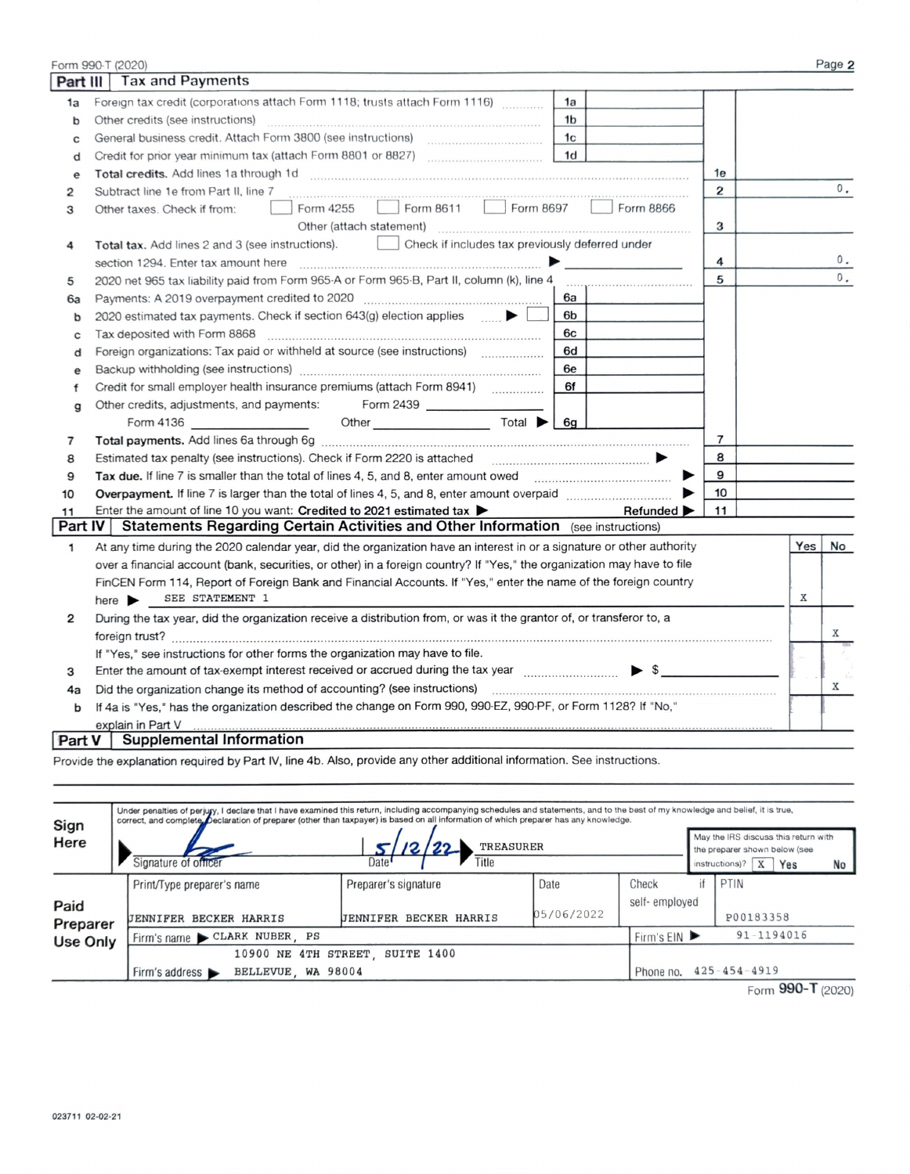|          | Form 990-T (2020)                                                                                                                                                                                               |                |     | Page 2 |
|----------|-----------------------------------------------------------------------------------------------------------------------------------------------------------------------------------------------------------------|----------------|-----|--------|
| Part III | <b>Tax and Payments</b>                                                                                                                                                                                         |                |     |        |
| 1a       | Foreign tax credit (corporations attach Form 1118; trusts attach Form 1116)<br>1a                                                                                                                               |                |     |        |
| b        | 1 <sub>b</sub><br>Other credits (see instructions)                                                                                                                                                              |                |     |        |
| с        | General business credit. Attach Form 3800 (see instructions)<br>1 <sub>c</sub>                                                                                                                                  |                |     |        |
| d        | 1 <sub>d</sub><br>Credit for prior year minimum tax (attach Form 8801 or 8827)                                                                                                                                  |                |     |        |
| е        |                                                                                                                                                                                                                 | 1e             |     |        |
| 2        | Subtract line 1e from Part II, line 7                                                                                                                                                                           | $\overline{2}$ |     | 0.     |
| 3        | Form 8611 Form 8697<br>Form 8866<br>Form 4255<br>Other taxes. Check if from:                                                                                                                                    |                |     |        |
|          | Other (attach statement)                                                                                                                                                                                        | 3              |     |        |
| 4        | Check if includes tax previously deferred under<br>Total tax. Add lines 2 and 3 (see instructions).                                                                                                             |                |     |        |
|          | section 1294. Enter tax amount here                                                                                                                                                                             | 4              |     | 0.     |
| 5        | 2020 net 965 tax liability paid from Form 965-A or Form 965-B, Part II, column (k), line 4                                                                                                                      | 5              |     | 0.     |
| 6a       | 6a                                                                                                                                                                                                              |                |     |        |
| b        | 2020 estimated tax payments. Check if section 643(g) election applies <u>example</u><br>6b                                                                                                                      |                |     |        |
| c        | 6с<br>Tax deposited with Form 8868                                                                                                                                                                              |                |     |        |
| d        | Foreign organizations: Tax paid or withheld at source (see instructions)<br>6d                                                                                                                                  |                |     |        |
| e        | 6e                                                                                                                                                                                                              |                |     |        |
| f        | 6f<br>Credit for small employer health insurance premiums (attach Form 8941)                                                                                                                                    |                |     |        |
| g        | Other credits, adjustments, and payments:<br>Form 2439                                                                                                                                                          |                |     |        |
|          |                                                                                                                                                                                                                 |                |     |        |
| 7        |                                                                                                                                                                                                                 | $\overline{7}$ |     |        |
| 8        |                                                                                                                                                                                                                 | 8              |     |        |
| 9        | Tax due. If line 7 is smaller than the total of lines 4, 5, and 8, enter amount owed <i>manuformances</i> and the 7 is                                                                                          | 9              |     |        |
| 10       |                                                                                                                                                                                                                 | 10             |     |        |
| 11       | Enter the amount of line 10 you want: Credited to 2021 estimated tax $\blacktriangleright$<br>Refunded $\blacktriangleright$                                                                                    | 11             |     |        |
| Part IV  | Statements Regarding Certain Activities and Other Information (see instructions)                                                                                                                                |                |     |        |
| 1        | At any time during the 2020 calendar year, did the organization have an interest in or a signature or other authority                                                                                           |                | Yes | No     |
|          | over a financial account (bank, securities, or other) in a foreign country? If "Yes," the organization may have to file                                                                                         |                |     |        |
|          | FinCEN Form 114, Report of Foreign Bank and Financial Accounts. If "Yes," enter the name of the foreign country                                                                                                 |                |     |        |
|          | SEE STATEMENT 1<br>here $\blacktriangleright$                                                                                                                                                                   |                | X   |        |
| 2        | During the tax year, did the organization receive a distribution from, or was it the grantor of, or transferor to, a                                                                                            |                |     |        |
|          |                                                                                                                                                                                                                 |                |     | X      |
|          | If "Yes," see instructions for other forms the organization may have to file.                                                                                                                                   |                |     |        |
| 3        | Enter the amount of tax-exempt interest received or accrued during the tax year manufacturer states and the amount of tax-exempt interest received or accrued during the tax year manufacturer of $\frac{1}{2}$ |                |     |        |
| 4a       | Did the organization change its method of accounting? (see instructions)                                                                                                                                        |                |     | X      |
| b        | If 4a is "Yes," has the organization described the change on Form 990, 990-EZ, 990-PF, or Form 1128? If "No,"                                                                                                   |                |     |        |
|          | explain in Part V                                                                                                                                                                                               |                |     |        |
| Part V   | <b>Supplemental Information</b>                                                                                                                                                                                 |                |     |        |

Provide the explanation required by Part IV, line 4b. Also, provide any other additional information. See instructions.

| Sign     | Under penalties of periury, I declare that I have examined this return, including accompanying schedules and statements, and to the best of my knowledge and belief, it is true,<br>correct, and complete, Declaration of preparer (other than taxpayer) is based on all information of which preparer has any knowledge. |                                                         | May the IRS discuss this return with |               |                                                                              |             |  |
|----------|---------------------------------------------------------------------------------------------------------------------------------------------------------------------------------------------------------------------------------------------------------------------------------------------------------------------------|---------------------------------------------------------|--------------------------------------|---------------|------------------------------------------------------------------------------|-------------|--|
| Here     | Signature of officer                                                                                                                                                                                                                                                                                                      | 12/22<br><b>TREASURER</b><br>Title<br>Date <sup>1</sup> |                                      |               | the preparer shown below (see<br>Yes<br>No<br>$\mathbf{x}$<br>instructions)? |             |  |
|          | Print/Type preparer's name                                                                                                                                                                                                                                                                                                | Preparer's signature                                    | Date                                 | Check         | if                                                                           | PTIN        |  |
| Paid     |                                                                                                                                                                                                                                                                                                                           | JENNIFER BECKER HARRIS                                  | 05/06/2022                           | self-employed |                                                                              |             |  |
| Preparer | <b>JENNIFER BECKER HARRIS</b>                                                                                                                                                                                                                                                                                             |                                                         |                                      | P00183358     |                                                                              |             |  |
| Use Only | Firm's name CLARK NUBER, PS                                                                                                                                                                                                                                                                                               | Firm's EIN                                              |                                      | 91-1194016    |                                                                              |             |  |
|          | 10900 NE 4TH STREET<br>SUITE 1400                                                                                                                                                                                                                                                                                         |                                                         |                                      |               |                                                                              |             |  |
|          | WA 98004<br><b>BELLEVUE</b> .<br>Firm's address                                                                                                                                                                                                                                                                           |                                                         | $425 - 454 - 4919$                   |               |                                                                              |             |  |
|          |                                                                                                                                                                                                                                                                                                                           |                                                         |                                      |               |                                                                              | 000T<br>$-$ |  |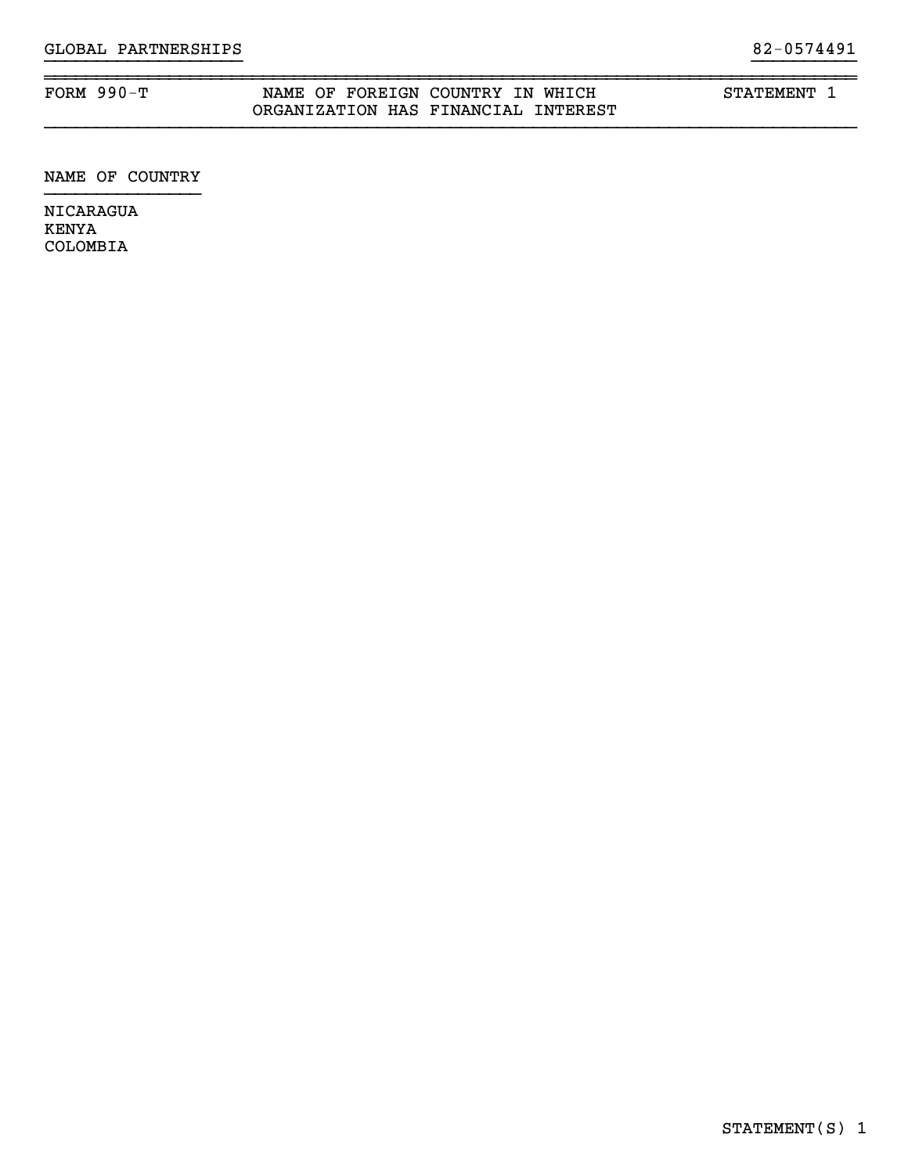## ~~~~~~~~~~~~~~~~~~~~~~~~~~~~~~~~~~~~~~~~~~~~~~~~~~~~~~~~~~~~~~~~~~~~~~~~~~~~~~FORM 990-T NAME OF FOREIGN COUNTRY IN WHICH STATEMENT 1 ORGANIZATION HAS FINANCIAL INTEREST

}}}}}}}}}}

NAME OF COUNTRY

NICARAGUA KENYA COLOMBIA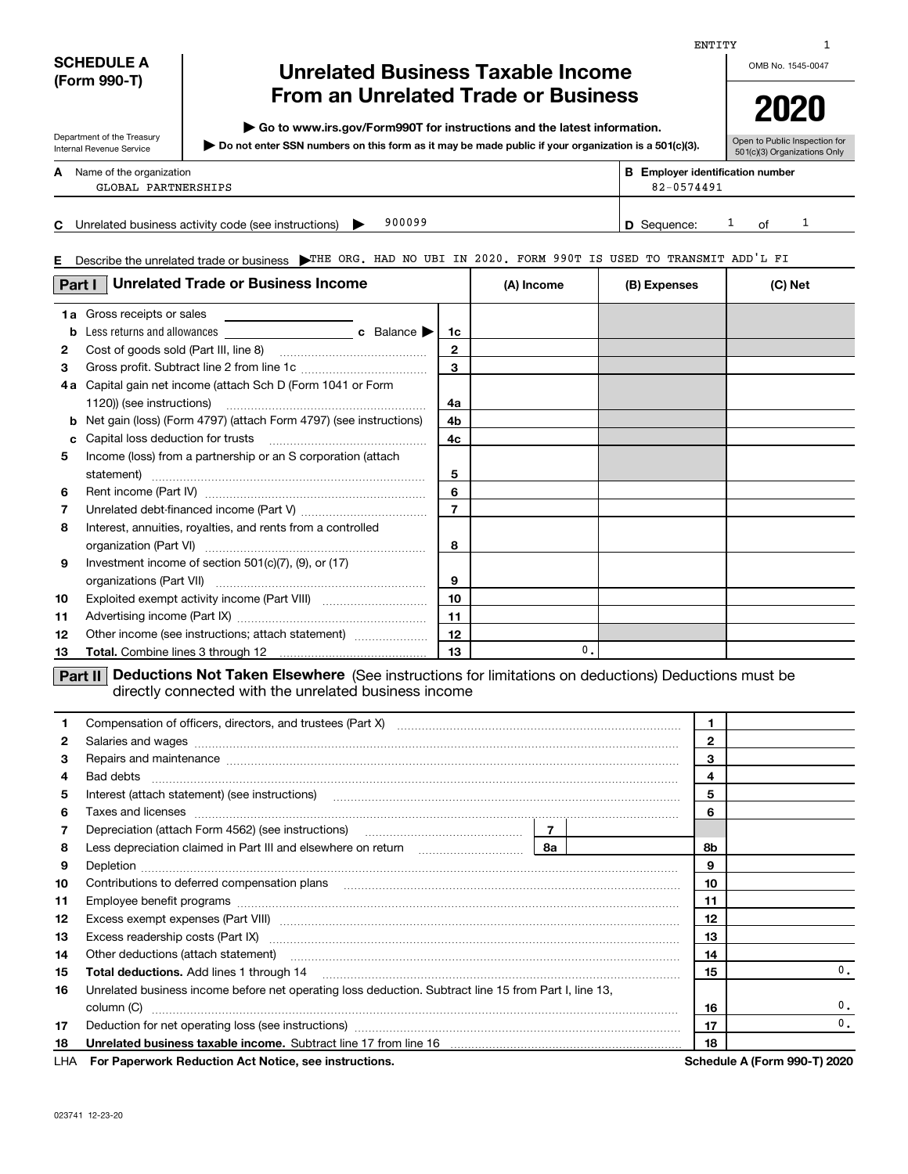## **SCHEDULE A (Form 990-T)**

Department of the Treasury

# **Unrelated Business Taxable Income From an Unrelated Trade or Business**

**| Go to www.irs.gov/Form990T for instructions and the latest information.**

**Do not enter SSN numbers on this form as it may be made public if your organization is a 501(c)(3). |** 

OMB No. 1545-0047

ENTITY

Open to Public Inspection for

| Internal Revenue Service |                                                          | $\blacktriangleright$ Do not enter SSN numbers on this form as it may be made public if your organization is a 501(c)(3). | <b>Political dollowing poolion</b><br>501(c)(3) Organizations Only |  |  |
|--------------------------|----------------------------------------------------------|---------------------------------------------------------------------------------------------------------------------------|--------------------------------------------------------------------|--|--|
|                          | <b>A</b> Name of the organization<br>GLOBAL PARTNERSHIPS | <b>B</b> Employer identification number<br>82-0574491                                                                     |                                                                    |  |  |
| C.                       |                                                          | 900099<br>Unrelated business activity code (see instructions)<br><b>D</b> Sequence:                                       | Ωf                                                                 |  |  |

#### **E**Describe the unrelated trade or business | THE ORG. HAD NO UBI IN 2020. FORM 990T IS USED TO TRANSMIT ADD'L FI

| <b>Unrelated Trade or Business Income</b><br>Part I |                                                                   |                | (A) Income     | (B) Expenses | (C) Net |
|-----------------------------------------------------|-------------------------------------------------------------------|----------------|----------------|--------------|---------|
| 1a                                                  | Gross receipts or sales                                           |                |                |              |         |
| b                                                   | Less returns and allowances <b>c</b> Balance <b>b</b>             | 1c             |                |              |         |
| 2                                                   |                                                                   | $\mathbf{2}$   |                |              |         |
| 3                                                   |                                                                   | 3              |                |              |         |
| 4а                                                  | Capital gain net income (attach Sch D (Form 1041 or Form          |                |                |              |         |
|                                                     |                                                                   | 4a             |                |              |         |
| b                                                   | Net gain (loss) (Form 4797) (attach Form 4797) (see instructions) | 4b             |                |              |         |
| c                                                   |                                                                   | 4c             |                |              |         |
| 5                                                   | Income (loss) from a partnership or an S corporation (attach      |                |                |              |         |
|                                                     | statement)                                                        | 5              |                |              |         |
| 6                                                   |                                                                   | 6              |                |              |         |
| 7                                                   |                                                                   | $\overline{7}$ |                |              |         |
| 8                                                   | Interest, annuities, royalties, and rents from a controlled       |                |                |              |         |
|                                                     |                                                                   | 8              |                |              |         |
| 9                                                   | Investment income of section 501(c)(7), (9), or (17)              |                |                |              |         |
|                                                     |                                                                   | 9              |                |              |         |
| 10                                                  |                                                                   | 10             |                |              |         |
| 11                                                  |                                                                   | 11             |                |              |         |
| 12                                                  | Other income (see instructions; attach statement)                 | 12             |                |              |         |
| 13                                                  |                                                                   | 13             | $\mathbf{0}$ . |              |         |

### **Part II** Deductions Not Taken Elsewhere (See instructions for limitations on deductions) Deductions must be directly connected with the unrelated business income

| 3  | Repairs and maintenance material content content content and maintenance material content and maintenance material content and maintenance material content and maintenance material content and material content and material       |  |  | 3  |                                        |
|----|--------------------------------------------------------------------------------------------------------------------------------------------------------------------------------------------------------------------------------------|--|--|----|----------------------------------------|
| 4  |                                                                                                                                                                                                                                      |  |  | 4  |                                        |
| 5  | Interest (attach statement) (see instructions) www.communically.communically.communically.communically.communically.communically.communically.communically.communically.communically.communically.communically.communically.co       |  |  | 5  |                                        |
| 6  | Taxes and licenses <b>continuum continuum continuum continuum continuum continuum continuum continuum continuum continuum continuum continuum continuum continuum continuum continuum continuum continuum continuum continuum co</b> |  |  | 6  |                                        |
| 7  | Depreciation (attach Form 4562) (see instructions) maturities contains 1                                                                                                                                                             |  |  |    |                                        |
| 8  |                                                                                                                                                                                                                                      |  |  | 8b |                                        |
| 9  |                                                                                                                                                                                                                                      |  |  | 9  |                                        |
| 10 | Contributions to deferred compensation plans                                                                                                                                                                                         |  |  | 10 |                                        |
| 11 |                                                                                                                                                                                                                                      |  |  | 11 |                                        |
| 12 |                                                                                                                                                                                                                                      |  |  | 12 |                                        |
| 13 |                                                                                                                                                                                                                                      |  |  | 13 |                                        |
| 14 | Other deductions (attach statement) encourance and according to the deductions (attach statement)                                                                                                                                    |  |  | 14 |                                        |
| 15 |                                                                                                                                                                                                                                      |  |  | 15 | 0.                                     |
| 16 | Unrelated business income before net operating loss deduction. Subtract line 15 from Part I, line 13,                                                                                                                                |  |  |    |                                        |
|    | column (C)                                                                                                                                                                                                                           |  |  | 16 | 0.                                     |
| 17 |                                                                                                                                                                                                                                      |  |  | 17 | 0.                                     |
| 18 | Unrelated business taxable income. Subtract line 17 from line 16 [11] www.community.community.com                                                                                                                                    |  |  | 18 |                                        |
|    | Fau Danamiradi Dadiration, Ant Notice, and instrumetional                                                                                                                                                                            |  |  |    | <b>Colorabile A (Ferma 000 T) 0000</b> |

023741 12-23-20

**2020**